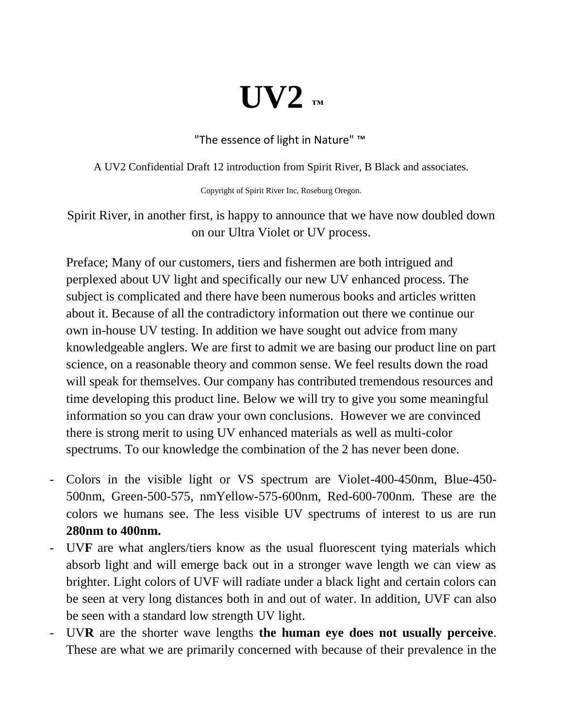## **UV2 ™**

"The essence of light in Nature" ™

A UV2 Confidential Draft 12 introduction from Spirit River, B Black and associates.

Copyright of Spirit River Inc, Roseburg Oregon.

Spirit River, in another first, is happy to announce that we have now doubled down on our Ultra Violet or UV process.

Preface; Many of our customers, tiers and fishermen are both intrigued and perplexed about UV light and specifically our new UV enhanced process. The subject is complicated and there have been numerous books and articles written about it. Because of all the contradictory information out there we continue our own in-house UV testing. In addition we have sought out advice from many knowledgeable anglers. We are first to admit we are basing our product line on part science, on a reasonable theory and common sense. We feel results down the road will speak for themselves. Our company has contributed tremendous resources and time developing this product line. Below we will try to give you some meaningful information so you can draw your own conclusions. However we are convinced there is strong merit to using UV enhanced materials as well as multi-color spectrums. To our knowledge the combination of the 2 has never been done.

- Colors in the visible light or VS spectrum are Violet-400-450nm, Blue-450- 500nm, Green-500-575, nmYellow-575-600nm, Red-600-700nm. These are the colors we humans see. The less visible UV spectrums of interest to us are run **280nm to 400nm.**
- UV**F** are what anglers/tiers know as the usual fluorescent tying materials which absorb light and will emerge back out in a stronger wave length we can view as brighter. Light colors of UVF will radiate under a black light and certain colors can be seen at very long distances both in and out of water. In addition, UVF can also be seen with a standard low strength UV light.
- UV**R** are the shorter wave lengths **the human eye does not usually perceive**. These are what we are primarily concerned with because of their prevalence in the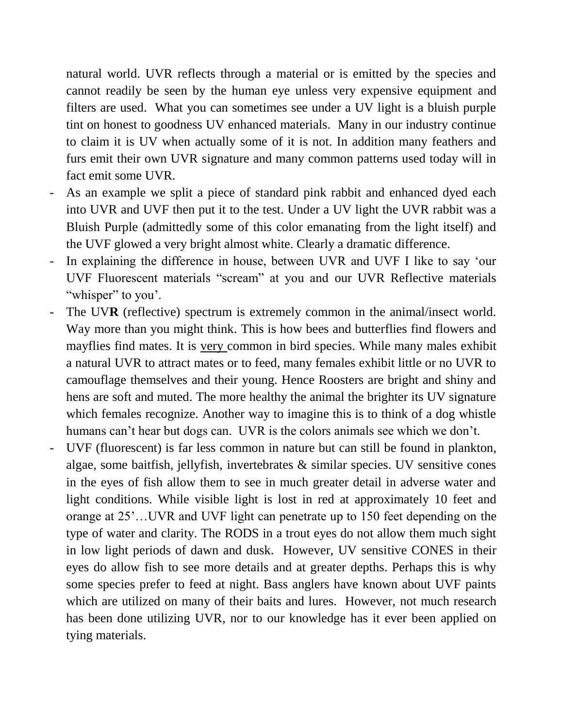natural world. UVR reflects through a material or is emitted by the species and cannot readily be seen by the human eye unless very expensive equipment and filters are used. What you can sometimes see under a UV light is a bluish purple tint on honest to goodness UV enhanced materials. Many in our industry continue to claim it is UV when actually some of it is not. In addition many feathers and furs emit their own UVR signature and many common patterns used today will in fact emit some UVR.

- As an example we split a piece of standard pink rabbit and enhanced dyed each into UVR and UVF then put it to the test. Under a UV light the UVR rabbit was a Bluish Purple (admittedly some of this color emanating from the light itself) and the UVF glowed a very bright almost white. Clearly a dramatic difference.
- In explaining the difference in house, between UVR and UVF I like to say 'our UVF Fluorescent materials "scream" at you and our UVR Reflective materials "whisper" to you'.
- The UV**R** (reflective) spectrum is extremely common in the animal/insect world. Way more than you might think. This is how bees and butterflies find flowers and mayflies find mates. It is very common in bird species. While many males exhibit a natural UVR to attract mates or to feed, many females exhibit little or no UVR to camouflage themselves and their young. Hence Roosters are bright and shiny and hens are soft and muted. The more healthy the animal the brighter its UV signature which females recognize. Another way to imagine this is to think of a dog whistle humans can't hear but dogs can. UVR is the colors animals see which we don't.
- UVF (fluorescent) is far less common in nature but can still be found in plankton, algae, some baitfish, jellyfish, invertebrates & similar species. UV sensitive cones in the eyes of fish allow them to see in much greater detail in adverse water and light conditions. While visible light is lost in red at approximately 10 feet and orange at 25'…UVR and UVF light can penetrate up to 150 feet depending on the type of water and clarity. The RODS in a trout eyes do not allow them much sight in low light periods of dawn and dusk. However, UV sensitive CONES in their eyes do allow fish to see more details and at greater depths. Perhaps this is why some species prefer to feed at night. Bass anglers have known about UVF paints which are utilized on many of their baits and lures. However, not much research has been done utilizing UVR, nor to our knowledge has it ever been applied on tying materials.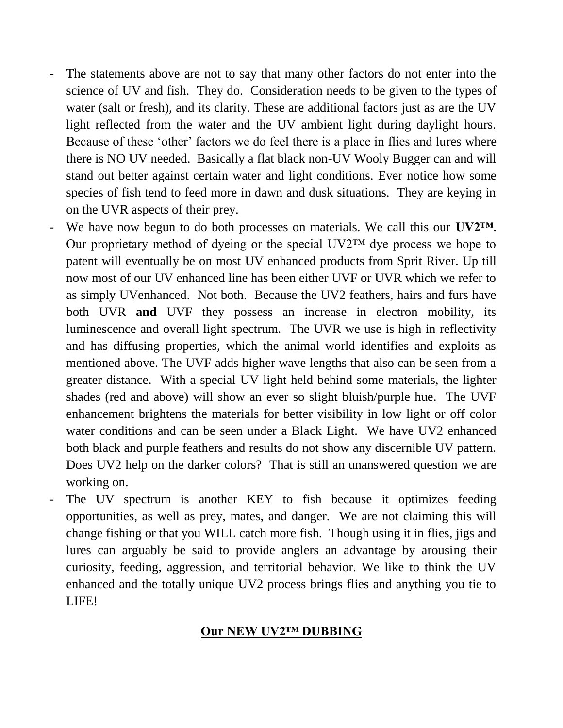- The statements above are not to say that many other factors do not enter into the science of UV and fish. They do. Consideration needs to be given to the types of water (salt or fresh), and its clarity. These are additional factors just as are the UV light reflected from the water and the UV ambient light during daylight hours. Because of these 'other' factors we do feel there is a place in flies and lures where there is NO UV needed. Basically a flat black non-UV Wooly Bugger can and will stand out better against certain water and light conditions. Ever notice how some species of fish tend to feed more in dawn and dusk situations. They are keying in on the UVR aspects of their prey.
- We have now begun to do both processes on materials. We call this our **UV2™**. Our proprietary method of dyeing or the special  $UV2^{TM}$  dye process we hope to patent will eventually be on most UV enhanced products from Sprit River. Up till now most of our UV enhanced line has been either UVF or UVR which we refer to as simply UVenhanced. Not both. Because the UV2 feathers, hairs and furs have both UVR **and** UVF they possess an increase in electron mobility, its luminescence and overall light spectrum. The UVR we use is high in reflectivity and has diffusing properties, which the animal world identifies and exploits as mentioned above. The UVF adds higher wave lengths that also can be seen from a greater distance. With a special UV light held behind some materials, the lighter shades (red and above) will show an ever so slight bluish/purple hue. The UVF enhancement brightens the materials for better visibility in low light or off color water conditions and can be seen under a Black Light. We have UV2 enhanced both black and purple feathers and results do not show any discernible UV pattern. Does UV2 help on the darker colors? That is still an unanswered question we are working on.
- The UV spectrum is another KEY to fish because it optimizes feeding opportunities, as well as prey, mates, and danger. We are not claiming this will change fishing or that you WILL catch more fish. Though using it in flies, jigs and lures can arguably be said to provide anglers an advantage by arousing their curiosity, feeding, aggression, and territorial behavior. We like to think the UV enhanced and the totally unique UV2 process brings flies and anything you tie to LIFE!

## **Our NEW UV2™ DUBBING**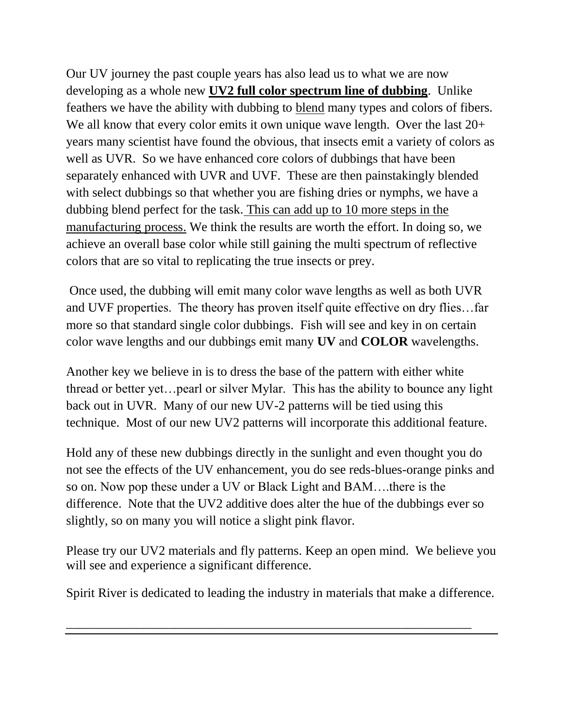Our UV journey the past couple years has also lead us to what we are now developing as a whole new **UV2 full color spectrum line of dubbing**. Unlike feathers we have the ability with dubbing to blend many types and colors of fibers. We all know that every color emits it own unique wave length. Over the last  $20+$ years many scientist have found the obvious, that insects emit a variety of colors as well as UVR. So we have enhanced core colors of dubbings that have been separately enhanced with UVR and UVF. These are then painstakingly blended with select dubbings so that whether you are fishing dries or nymphs, we have a dubbing blend perfect for the task. This can add up to 10 more steps in the manufacturing process. We think the results are worth the effort. In doing so, we achieve an overall base color while still gaining the multi spectrum of reflective colors that are so vital to replicating the true insects or prey.

Once used, the dubbing will emit many color wave lengths as well as both UVR and UVF properties. The theory has proven itself quite effective on dry flies…far more so that standard single color dubbings. Fish will see and key in on certain color wave lengths and our dubbings emit many **UV** and **COLOR** wavelengths.

Another key we believe in is to dress the base of the pattern with either white thread or better yet…pearl or silver Mylar. This has the ability to bounce any light back out in UVR. Many of our new UV-2 patterns will be tied using this technique. Most of our new UV2 patterns will incorporate this additional feature.

Hold any of these new dubbings directly in the sunlight and even thought you do not see the effects of the UV enhancement, you do see reds-blues-orange pinks and so on. Now pop these under a UV or Black Light and BAM….there is the difference. Note that the UV2 additive does alter the hue of the dubbings ever so slightly, so on many you will notice a slight pink flavor.

Please try our UV2 materials and fly patterns. Keep an open mind. We believe you will see and experience a significant difference.

Spirit River is dedicated to leading the industry in materials that make a difference.

\_\_\_\_\_\_\_\_\_\_\_\_\_\_\_\_\_\_\_\_\_\_\_\_\_\_\_\_\_\_\_\_\_\_\_\_\_\_\_\_\_\_\_\_\_\_\_\_\_\_\_\_\_\_\_\_\_\_\_\_\_\_\_